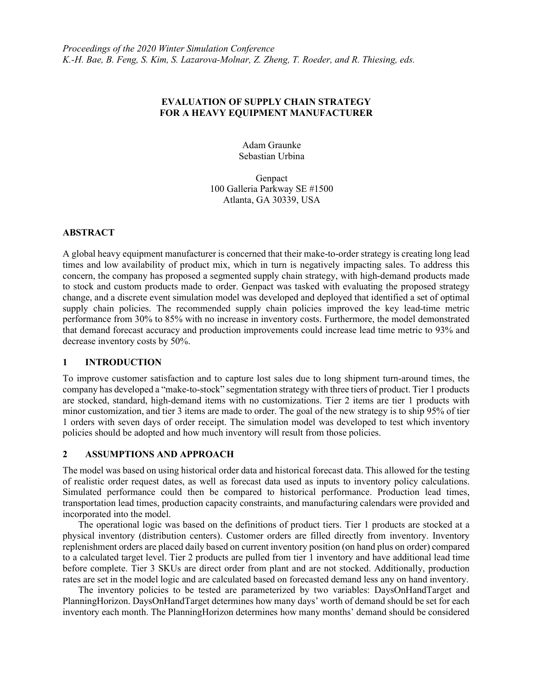# EVALUATION OF SUPPLY CHAIN STRATEGY FOR A HEAVY EQUIPMENT MANUFACTURER

Adam Graunke Sebastian Urbina

Genpact 100 Galleria Parkway SE #1500 Atlanta, GA 30339, USA

# ABSTRACT

A global heavy equipment manufacturer is concerned that their make-to-order strategy is creating long lead times and low availability of product mix, which in turn is negatively impacting sales. To address this concern, the company has proposed a segmented supply chain strategy, with high-demand products made to stock and custom products made to order. Genpact was tasked with evaluating the proposed strategy change, and a discrete event simulation model was developed and deployed that identified a set of optimal supply chain policies. The recommended supply chain policies improved the key lead-time metric performance from 30% to 85% with no increase in inventory costs. Furthermore, the model demonstrated that demand forecast accuracy and production improvements could increase lead time metric to 93% and decrease inventory costs by 50%.

## 1 INTRODUCTION

To improve customer satisfaction and to capture lost sales due to long shipment turn-around times, the company has developed a "make-to-stock" segmentation strategy with three tiers of product. Tier 1 products are stocked, standard, high-demand items with no customizations. Tier 2 items are tier 1 products with minor customization, and tier 3 items are made to order. The goal of the new strategy is to ship 95% of tier 1 orders with seven days of order receipt. The simulation model was developed to test which inventory policies should be adopted and how much inventory will result from those policies.

## 2 ASSUMPTIONS AND APPROACH

The model was based on using historical order data and historical forecast data. This allowed for the testing of realistic order request dates, as well as forecast data used as inputs to inventory policy calculations. Simulated performance could then be compared to historical performance. Production lead times, transportation lead times, production capacity constraints, and manufacturing calendars were provided and incorporated into the model.

The operational logic was based on the definitions of product tiers. Tier 1 products are stocked at a physical inventory (distribution centers). Customer orders are filled directly from inventory. Inventory replenishment orders are placed daily based on current inventory position (on hand plus on order) compared to a calculated target level. Tier 2 products are pulled from tier 1 inventory and have additional lead time before complete. Tier 3 SKUs are direct order from plant and are not stocked. Additionally, production rates are set in the model logic and are calculated based on forecasted demand less any on hand inventory.

The inventory policies to be tested are parameterized by two variables: DaysOnHandTarget and PlanningHorizon. DaysOnHandTarget determines how many days' worth of demand should be set for each inventory each month. The PlanningHorizon determines how many months' demand should be considered